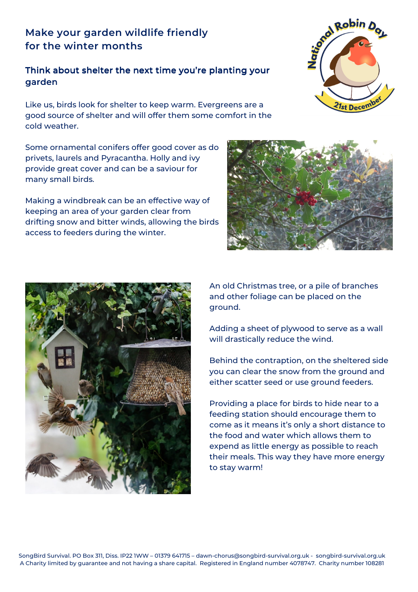## **Make your garden wildlife friendly for the winter months**

## Think about shelter the next time you're planting your garden

Like us, birds look for shelter to keep warm. Evergreens are a good source of shelter and will offer them some comfort in the cold weather.

Some ornamental conifers offer good cover as do privets, laurels and Pyracantha. Holly and ivy provide great cover and can be a saviour for many small birds.

Making a windbreak can be an effective way of keeping an area of your garden clear from drifting snow and bitter winds, allowing the birds access to feeders during the winter.





An old Christmas tree, or a pile of branches and other foliage can be placed on the ground.

Adding a sheet of plywood to serve as a wall will drastically reduce the wind.

Behind the contraption, on the sheltered side you can clear the snow from the ground and either scatter seed or use ground feeders.

Providing a place for birds to hide near to a feeding station should encourage them to come as it means it's only a short distance to the food and water which allows them to expend as little energy as possible to reach their meals. This way they have more energy to stay warm!